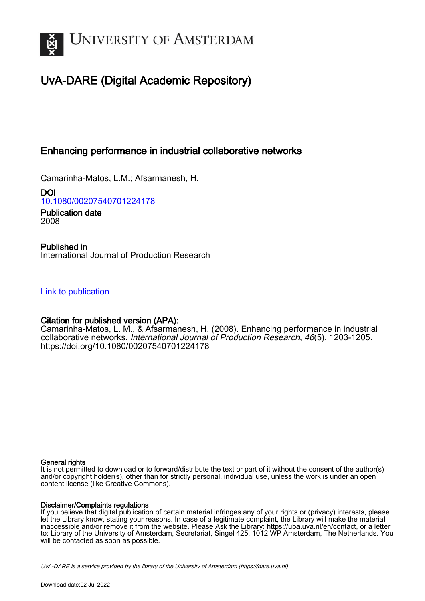

# UvA-DARE (Digital Academic Repository)

# Enhancing performance in industrial collaborative networks

Camarinha-Matos, L.M.; Afsarmanesh, H.

DOI [10.1080/00207540701224178](https://doi.org/10.1080/00207540701224178)

Publication date 2008

Published in International Journal of Production Research

[Link to publication](https://dare.uva.nl/personal/pure/en/publications/enhancing-performance-in-industrial-collaborative-networks(35d70c22-3204-47cd-91a0-0577fde73618).html)

### Citation for published version (APA):

Camarinha-Matos, L. M., & Afsarmanesh, H. (2008). Enhancing performance in industrial collaborative networks. International Journal of Production Research, 46(5), 1203-1205. <https://doi.org/10.1080/00207540701224178>

#### General rights

It is not permitted to download or to forward/distribute the text or part of it without the consent of the author(s) and/or copyright holder(s), other than for strictly personal, individual use, unless the work is under an open content license (like Creative Commons).

#### Disclaimer/Complaints regulations

If you believe that digital publication of certain material infringes any of your rights or (privacy) interests, please let the Library know, stating your reasons. In case of a legitimate complaint, the Library will make the material inaccessible and/or remove it from the website. Please Ask the Library: https://uba.uva.nl/en/contact, or a letter to: Library of the University of Amsterdam, Secretariat, Singel 425, 1012 WP Amsterdam, The Netherlands. You will be contacted as soon as possible.

UvA-DARE is a service provided by the library of the University of Amsterdam (http*s*://dare.uva.nl)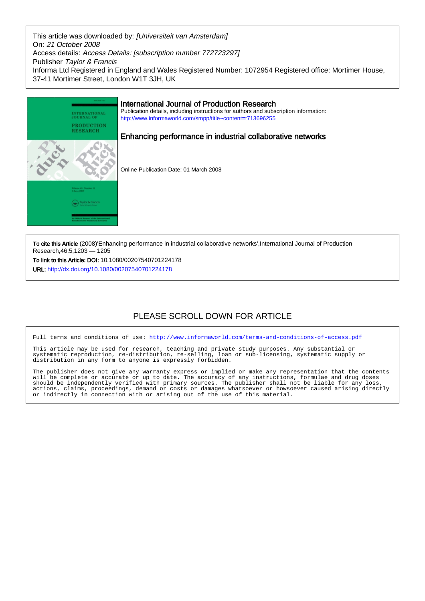This article was downloaded by: [Universiteit van Amsterdam] On: 21 October 2008 Access details: Access Details: [subscription number 772723297] Publisher Taylor & Francis Informa Ltd Registered in England and Wales Registered Number: 1072954 Registered office: Mortimer House, 37-41 Mortimer Street, London W1T 3JH, UK



To cite this Article (2008)'Enhancing performance in industrial collaborative networks',International Journal of Production Research,46:5,1203 — 1205

To link to this Article: DOI: 10.1080/00207540701224178 URL: <http://dx.doi.org/10.1080/00207540701224178>

## PLEASE SCROLL DOWN FOR ARTICLE

Full terms and conditions of use:<http://www.informaworld.com/terms-and-conditions-of-access.pdf>

This article may be used for research, teaching and private study purposes. Any substantial or systematic reproduction, re-distribution, re-selling, loan or sub-licensing, systematic supply or distribution in any form to anyone is expressly forbidden.

The publisher does not give any warranty express or implied or make any representation that the contents will be complete or accurate or up to date. The accuracy of any instructions, formulae and drug doses should be independently verified with primary sources. The publisher shall not be liable for any loss, actions, claims, proceedings, demand or costs or damages whatsoever or howsoever caused arising directly or indirectly in connection with or arising out of the use of this material.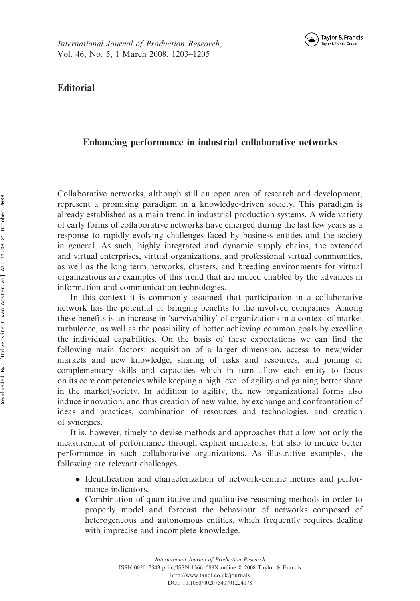

### **Editorial**

### Enhancing performance in industrial collaborative networks

Collaborative networks, although still an open area of research and development, represent a promising paradigm in a knowledge-driven society. This paradigm is already established as a main trend in industrial production systems. A wide variety of early forms of collaborative networks have emerged during the last few years as a response to rapidly evolving challenges faced by business entities and the society in general. As such, highly integrated and dynamic supply chains, the extended and virtual enterprises, virtual organizations, and professional virtual communities, as well as the long term networks, clusters, and breeding environments for virtual organizations are examples of this trend that are indeed enabled by the advances in information and communication technologies.

In this context it is commonly assumed that participation in a collaborative network has the potential of bringing benefits to the involved companies. Among these benefits is an increase in 'survivability' of organizations in a context of market turbulence, as well as the possibility of better achieving common goals by excelling the individual capabilities. On the basis of these expectations we can find the following main factors: acquisition of a larger dimension, access to new/wider markets and new knowledge, sharing of risks and resources, and joining of complementary skills and capacities which in turn allow each entity to focus on its core competencies while keeping a high level of agility and gaining better share in the market/society. In addition to agility, the new organizational forms also induce innovation, and thus creation of new value, by exchange and confrontation of ideas and practices, combination of resources and technologies, and creation of synergies.

It is, however, timely to devise methods and approaches that allow not only the measurement of performance through explicit indicators, but also to induce better performance in such collaborative organizations. As illustrative examples, the following are relevant challenges:

- . Identification and characterization of network-centric metrics and performance indicators.
- . Combination of quantitative and qualitative reasoning methods in order to properly model and forecast the behaviour of networks composed of heterogeneous and autonomous entities, which frequently requires dealing with imprecise and incomplete knowledge.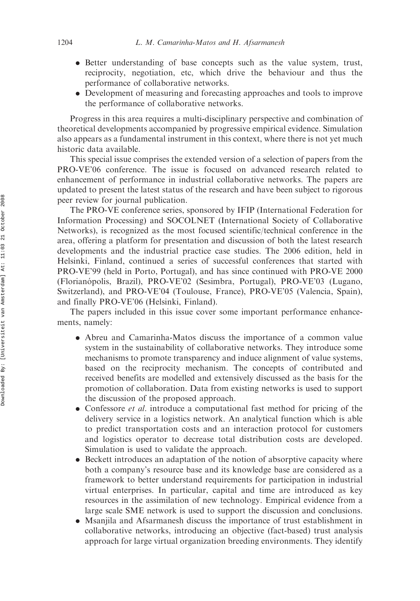- . Better understanding of base concepts such as the value system, trust, reciprocity, negotiation, etc, which drive the behaviour and thus the performance of collaborative networks.
- . Development of measuring and forecasting approaches and tools to improve the performance of collaborative networks.

Progress in this area requires a multi-disciplinary perspective and combination of theoretical developments accompanied by progressive empirical evidence. Simulation also appears as a fundamental instrument in this context, where there is not yet much historic data available.

This special issue comprises the extended version of a selection of papers from the PRO-VE'06 conference. The issue is focused on advanced research related to enhancement of performance in industrial collaborative networks. The papers are updated to present the latest status of the research and have been subject to rigorous peer review for journal publication.

The PRO-VE conference series, sponsored by IFIP (International Federation for Information Processing) and SOCOLNET (International Society of Collaborative Networks), is recognized as the most focused scientific/technical conference in the area, offering a platform for presentation and discussion of both the latest research developments and the industrial practice case studies. The 2006 edition, held in Helsinki, Finland, continued a series of successful conferences that started with PRO-VE'99 (held in Porto, Portugal), and has since continued with PRO-VE 2000 (Florianópolis, Brazil), PRO-VE'02 (Sesimbra, Portugal), PRO-VE'03 (Lugano, Switzerland), and PRO-VE'04 (Toulouse, France), PRO-VE'05 (Valencia, Spain), and finally PRO-VE'06 (Helsinki, Finland).

The papers included in this issue cover some important performance enhancements, namely:

- . Abreu and Camarinha-Matos discuss the importance of a common value system in the sustainability of collaborative networks. They introduce some mechanisms to promote transparency and induce alignment of value systems, based on the reciprocity mechanism. The concepts of contributed and received benefits are modelled and extensively discussed as the basis for the promotion of collaboration. Data from existing networks is used to support the discussion of the proposed approach.
- Confessore et al. introduce a computational fast method for pricing of the delivery service in a logistics network. An analytical function which is able to predict transportation costs and an interaction protocol for customers and logistics operator to decrease total distribution costs are developed. Simulation is used to validate the approach.
- . Beckett introduces an adaptation of the notion of absorptive capacity where both a company's resource base and its knowledge base are considered as a framework to better understand requirements for participation in industrial virtual enterprises. In particular, capital and time are introduced as key resources in the assimilation of new technology. Empirical evidence from a large scale SME network is used to support the discussion and conclusions.
- . Msanjila and Afsarmanesh discuss the importance of trust establishment in collaborative networks, introducing an objective (fact-based) trust analysis approach for large virtual organization breeding environments. They identify